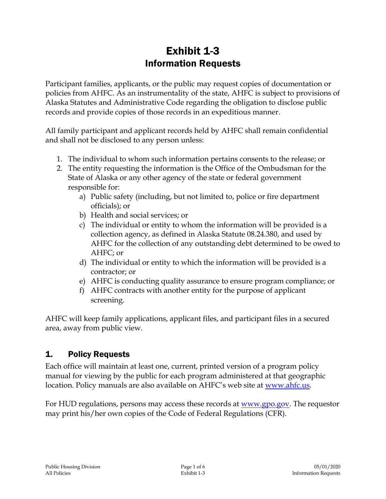# Exhibit 1-3 Information Requests

Participant families, applicants, or the public may request copies of documentation or policies from AHFC. As an instrumentality of the state, AHFC is subject to provisions of Alaska Statutes and Administrative Code regarding the obligation to disclose public records and provide copies of those records in an expeditious manner.

All family participant and applicant records held by AHFC shall remain confidential and shall not be disclosed to any person unless:

- 1. The individual to whom such information pertains consents to the release; or
- 2. The entity requesting the information is the Office of the Ombudsman for the State of Alaska or any other agency of the state or federal government responsible for:
	- a) Public safety (including, but not limited to, police or fire department officials); or
	- b) Health and social services; or
	- c) The individual or entity to whom the information will be provided is a collection agency, as defined in Alaska Statute 08.24.380, and used by AHFC for the collection of any outstanding debt determined to be owed to AHFC; or
	- d) The individual or entity to which the information will be provided is a contractor; or
	- e) AHFC is conducting quality assurance to ensure program compliance; or
	- f) AHFC contracts with another entity for the purpose of applicant screening.

AHFC will keep family applications, applicant files, and participant files in a secured area, away from public view.

### 1. Policy Requests

Each office will maintain at least one, current, printed version of a program policy manual for viewing by the public for each program administered at that geographic location. Policy manuals are also available on AHFC's web site at [www.ahfc.us.](http://www.ahfc.us/)

For HUD regulations, persons may access these records at <u>www.gpo.gov</u>. The requestor may print his/her own copies of the Code of Federal Regulations (CFR).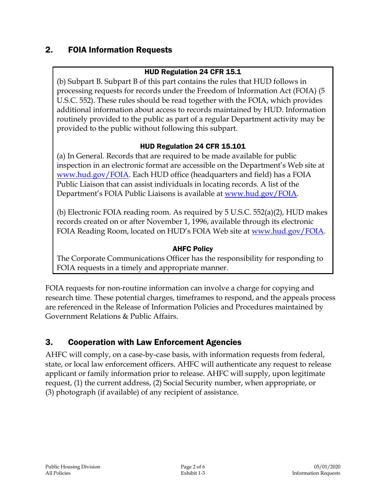## 2. FOIA Information Requests

### HUD Regulation 24 CFR 15.1

(b) Subpart B. Subpart B of this part contains the rules that HUD follows in processing requests for records under the Freedom of Information Act (FOIA) (5 U.S.C. 552). These rules should be read together with the FOIA, which provides additional information about access to records maintained by HUD. Information routinely provided to the public as part of a regular Department activity may be provided to the public without following this subpart.

#### HUD Regulation 24 CFR 15.101

(a) In General. Records that are required to be made available for public inspection in an electronic format are accessible on the Department's Web site at [www.hud.gov/FOIA.](http://www.hud.gov/FOIA) Each HUD office (headquarters and field) has a FOIA Public Liaison that can assist individuals in locating records. A list of the Department's FOIA Public Liaisons is available at [www.hud.gov/FOIA.](http://www.hud.gov/FOIA)

(b) Electronic FOIA reading room. As required by 5 U.S.C. 552(a)(2), HUD makes records created on or after November 1, 1996, available through its electronic FOIA Reading Room, located on HUD's FOIA Web site at [www.hud.gov/FOIA.](http://www.hud.gov/FOIA)

#### AHFC Policy

The Corporate Communications Officer has the responsibility for responding to FOIA requests in a timely and appropriate manner.

FOIA requests for non-routine information can involve a charge for copying and research time. These potential charges, timeframes to respond, and the appeals process are referenced in the Release of Information Policies and Procedures maintained by Government Relations & Public Affairs.

### 3. Cooperation with Law Enforcement Agencies

AHFC will comply, on a case-by-case basis, with information requests from federal, state, or local law enforcement officers. AHFC will authenticate any request to release applicant or family information prior to release. AHFC will supply, upon legitimate request, (1) the current address, (2) Social Security number, when appropriate, or (3) photograph (if available) of any recipient of assistance.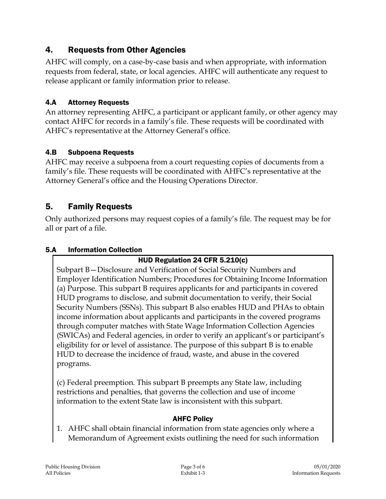# 4. Requests from Other Agencies

AHFC will comply, on a case-by-case basis and when appropriate, with information requests from federal, state, or local agencies. AHFC will authenticate any request to release applicant or family information prior to release.

### 4.A Attorney Requests

An attorney representing AHFC, a participant or applicant family, or other agency may contact AHFC for records in a family's file. These requests will be coordinated with AHFC's representative at the Attorney General's office.

#### 4.B Subpoena Requests

AHFC may receive a subpoena from a court requesting copies of documents from a family's file. These requests will be coordinated with AHFC's representative at the Attorney General's office and the Housing Operations Director.

### 5. Family Requests

Only authorized persons may request copies of a family's file. The request may be for all or part of a file.

#### 5.A Information Collection

### HUD Regulation 24 CFR 5.210(c)

Subpart B—Disclosure and Verification of Social Security Numbers and Employer Identification Numbers; Procedures for Obtaining Income Information (a) Purpose. This subpart B requires applicants for and participants in covered HUD programs to disclose, and submit documentation to verify, their Social Security Numbers (SSNs). This subpart B also enables HUD and PHAs to obtain income information about applicants and participants in the covered programs through computer matches with State Wage Information Collection Agencies (SWICAs) and Federal agencies, in order to verify an applicant's or participant's eligibility for or level of assistance. The purpose of this subpart B is to enable HUD to decrease the incidence of fraud, waste, and abuse in the covered programs.

(c) Federal preemption. This subpart B preempts any State law, including restrictions and penalties, that governs the collection and use of income information to the extent State law is inconsistent with this subpart.

#### AHFC Policy

1. AHFC shall obtain financial information from state agencies only where a Memorandum of Agreement exists outlining the need for such information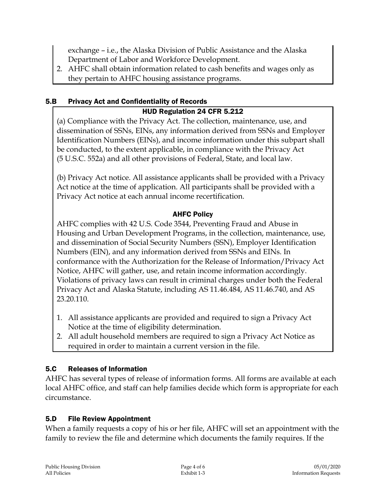exchange – i.e., the Alaska Division of Public Assistance and the Alaska Department of Labor and Workforce Development.

2. AHFC shall obtain information related to cash benefits and wages only as they pertain to AHFC housing assistance programs.

### 5.B Privacy Act and Confidentiality of Records

### HUD Regulation 24 CFR 5.212

(a) Compliance with the Privacy Act. The collection, maintenance, use, and dissemination of SSNs, EINs, any information derived from SSNs and Employer Identification Numbers (EINs), and income information under this subpart shall be conducted, to the extent applicable, in compliance with the Privacy Act (5 U.S.C. 552a) and all other provisions of Federal, State, and local law.

(b) Privacy Act notice. All assistance applicants shall be provided with a Privacy Act notice at the time of application. All participants shall be provided with a Privacy Act notice at each annual income recertification.

#### AHFC Policy

AHFC complies with 42 U.S. Code 3544, Preventing Fraud and Abuse in Housing and Urban Development Programs, in the collection, maintenance, use, and dissemination of Social Security Numbers (SSN), Employer Identification Numbers (EIN), and any information derived from SSNs and EINs. In conformance with the Authorization for the Release of Information/Privacy Act Notice, AHFC will gather, use, and retain income information accordingly. Violations of privacy laws can result in criminal charges under both the Federal Privacy Act and Alaska Statute, including AS 11.46.484, AS 11.46.740, and AS 23.20.110.

- 1. All assistance applicants are provided and required to sign a Privacy Act Notice at the time of eligibility determination.
- 2. All adult household members are required to sign a Privacy Act Notice as required in order to maintain a current version in the file.

### 5.C Releases of Information

AHFC has several types of release of information forms. All forms are available at each local AHFC office, and staff can help families decide which form is appropriate for each circumstance.

#### 5.D File Review Appointment

When a family requests a copy of his or her file, AHFC will set an appointment with the family to review the file and determine which documents the family requires. If the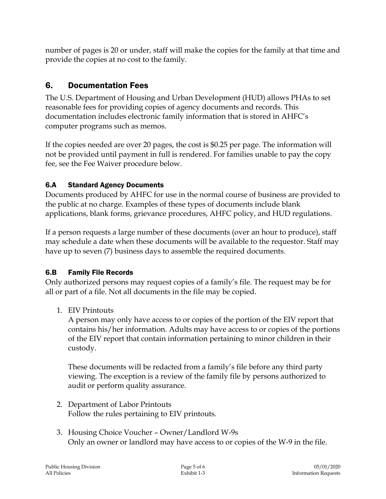number of pages is 20 or under, staff will make the copies for the family at that time and provide the copies at no cost to the family.

# 6. Documentation Fees

The U.S. Department of Housing and Urban Development (HUD) allows PHAs to set reasonable fees for providing copies of agency documents and records. This documentation includes electronic family information that is stored in AHFC's computer programs such as memos.

If the copies needed are over 20 pages, the cost is \$0.25 per page. The information will not be provided until payment in full is rendered. For families unable to pay the copy fee, see the Fee Waiver procedure below.

### 6.A Standard Agency Documents

Documents produced by AHFC for use in the normal course of business are provided to the public at no charge. Examples of these types of documents include blank applications, blank forms, grievance procedures, AHFC policy, and HUD regulations.

If a person requests a large number of these documents (over an hour to produce), staff may schedule a date when these documents will be available to the requestor. Staff may have up to seven (7) business days to assemble the required documents.

### 6.B Family File Records

Only authorized persons may request copies of a family's file. The request may be for all or part of a file. Not all documents in the file may be copied.

1. EIV Printouts

A person may only have access to or copies of the portion of the EIV report that contains his/her information. Adults may have access to or copies of the portions of the EIV report that contain information pertaining to minor children in their custody.

These documents will be redacted from a family's file before any third party viewing. The exception is a review of the family file by persons authorized to audit or perform quality assurance.

- 2. Department of Labor Printouts Follow the rules pertaining to EIV printouts.
- 3. Housing Choice Voucher Owner/Landlord W-9s Only an owner or landlord may have access to or copies of the W-9 in the file.